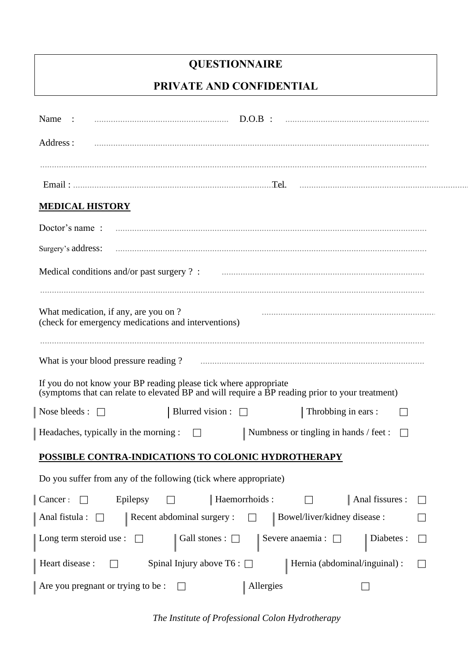# **QUESTIONNAIRE**

# **PRIVATE AND CONFIDENTIAL**

| $D.O.B$ :<br>Name :                                                                                                                                                 |
|---------------------------------------------------------------------------------------------------------------------------------------------------------------------|
| Address:                                                                                                                                                            |
|                                                                                                                                                                     |
|                                                                                                                                                                     |
| <b>MEDICAL HISTORY</b>                                                                                                                                              |
| Doctor's name:                                                                                                                                                      |
| Surgery's address:                                                                                                                                                  |
| Medical conditions and/or past surgery ? :                                                                                                                          |
| What medication, if any, are you on?<br>(check for emergency medications and interventions)                                                                         |
| What is your blood pressure reading?                                                                                                                                |
| If you do not know your BP reading please tick where appropriate<br>(symptoms that can relate to elevated BP and will require a BP reading prior to your treatment) |
| Blurred vision : $\Box$<br>Throbbing in ears :<br>Nose bleeds : $\Box$                                                                                              |
| Headaches, typically in the morning :<br>Numbness or tingling in hands / feet :<br>$\Box$<br>$\Box$                                                                 |
| POSSIBLE CONTRA-INDICATIONS TO COLONIC HYDROTHERAPY                                                                                                                 |
| Do you suffer from any of the following (tick where appropriate)                                                                                                    |
| Haemorrhoids:<br>Anal fissures :<br>Cancer:<br>Epilepsy<br>$\overline{\phantom{a}}$<br>$\Box$<br>$\mathbb{Z}^2$                                                     |
| Recent abdominal surgery :<br>Bowel/liver/kidney disease :<br>Anal fistula : $\Box$                                                                                 |
| Long term steroid use : $\Box$<br>Severe anaemia : $\Box$<br>Diabetes:<br>Gall stones : $\Box$<br>$\Box$                                                            |
| Heart disease :<br>Spinal Injury above T6 : $\Box$<br>Hernia (abdominal/inguinal) :<br>$\mathsf{L}$<br>$\Box$                                                       |
| Are you pregnant or trying to be :<br>Allergies<br>$\perp$                                                                                                          |

*The Institute of Professional Colon Hydrotherapy*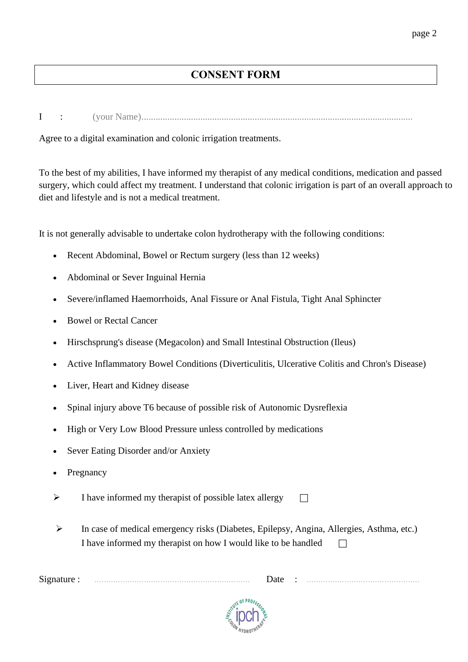# **CONSENT FORM**

I : (your Name)...................................................................................................................

Agree to a digital examination and colonic irrigation treatments.

To the best of my abilities, I have informed my therapist of any medical conditions, medication and passed surgery, which could affect my treatment. I understand that colonic irrigation is part of an overall approach to diet and lifestyle and is not a medical treatment.

It is not generally advisable to undertake colon hydrotherapy with the following conditions:

- Recent Abdominal, Bowel or Rectum surgery (less than 12 weeks)
- Abdominal or Sever Inguinal Hernia
- Severe/inflamed Haemorrhoids, Anal Fissure or Anal Fistula, Tight Anal Sphincter
- Bowel or Rectal Cancer
- Hirschsprung's disease (Megacolon) and Small Intestinal Obstruction (Ileus)
- Active Inflammatory Bowel Conditions (Diverticulitis, Ulcerative Colitis and Chron's Disease)
- Liver, Heart and Kidney disease
- Spinal injury above T6 because of possible risk of Autonomic Dysreflexia
- High or Very Low Blood Pressure unless controlled by medications
- Sever Eating Disorder and/or Anxiety
- **Pregnancy**
- $\triangleright$  I have informed my therapist of possible latex allergy  $\Box$
- ➢ In case of medical emergency risks (Diabetes, Epilepsy, Angina, Allergies, Asthma, etc.) I have informed my therapist on how I would like to be handled  $\Box$

Signature : .................................................................. Date : ................................................

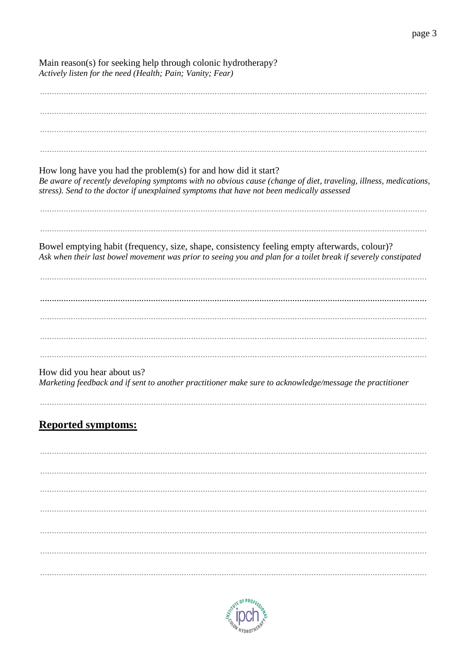| Main reason(s) for seeking help through colonic hydrotherapy?<br>Actively listen for the need (Health; Pain; Vanity; Fear)                                                                                                                                                      |  |  |  |
|---------------------------------------------------------------------------------------------------------------------------------------------------------------------------------------------------------------------------------------------------------------------------------|--|--|--|
|                                                                                                                                                                                                                                                                                 |  |  |  |
| How long have you had the problem(s) for and how did it start?<br>Be aware of recently developing symptoms with no obvious cause (change of diet, traveling, illness, medications,<br>stress). Send to the doctor if unexplained symptoms that have not been medically assessed |  |  |  |
| Bowel emptying habit (frequency, size, shape, consistency feeling empty afterwards, colour)?<br>Ask when their last bowel movement was prior to seeing you and plan for a toilet break if severely constipated                                                                  |  |  |  |
|                                                                                                                                                                                                                                                                                 |  |  |  |
| How did you hear about us?<br>Marketing feedback and if sent to another practitioner make sure to acknowledge/message the practitioner                                                                                                                                          |  |  |  |
| <b>Reported symptoms:</b>                                                                                                                                                                                                                                                       |  |  |  |
|                                                                                                                                                                                                                                                                                 |  |  |  |
|                                                                                                                                                                                                                                                                                 |  |  |  |
|                                                                                                                                                                                                                                                                                 |  |  |  |

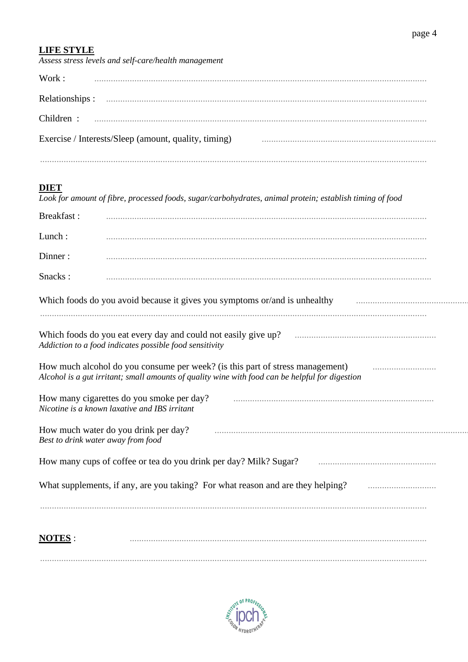# **LIFE STYLE**

| Assess stress levels and self-care/health management |  |  |
|------------------------------------------------------|--|--|
| Work:                                                |  |  |
|                                                      |  |  |
|                                                      |  |  |
| Exercise / Interests/Sleep (amount, quality, timing) |  |  |
|                                                      |  |  |
|                                                      |  |  |

**DIET**<br>Look for amount of fibre, processed foods, sugar/carbohydrates, animal protein; establish timing of food

| <b>Breakfast:</b> |                                                                                                                                                                                  |  |  |  |
|-------------------|----------------------------------------------------------------------------------------------------------------------------------------------------------------------------------|--|--|--|
| Lunch:            |                                                                                                                                                                                  |  |  |  |
| Dinner:           |                                                                                                                                                                                  |  |  |  |
| Snacks:           |                                                                                                                                                                                  |  |  |  |
|                   | Which foods do you avoid because it gives you symptoms or/and is unhealthy                                                                                                       |  |  |  |
|                   | Which foods do you eat every day and could not easily give up?<br>Addiction to a food indicates possible food sensitivity                                                        |  |  |  |
|                   | How much alcohol do you consume per week? (is this part of stress management)<br>Alcohol is a gut irritant; small amounts of quality wine with food can be helpful for digestion |  |  |  |
|                   | How many cigarettes do you smoke per day?<br>Nicotine is a known laxative and IBS irritant                                                                                       |  |  |  |
|                   | How much water do you drink per day?<br>Best to drink water away from food                                                                                                       |  |  |  |
|                   | How many cups of coffee or tea do you drink per day? Milk? Sugar?                                                                                                                |  |  |  |
|                   | What supplements, if any, are you taking? For what reason and are they helping?                                                                                                  |  |  |  |
|                   |                                                                                                                                                                                  |  |  |  |
| <b>NOTES:</b>     |                                                                                                                                                                                  |  |  |  |
|                   |                                                                                                                                                                                  |  |  |  |

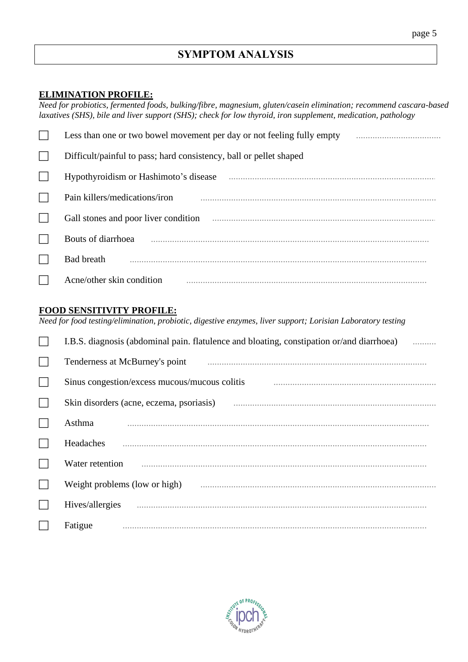# **ELIMINATION PROFILE:**

Need for probiotics, fermented foods, bulking/fibre, magnesium, gluten/casein elimination; recommend cascara-based laxatives (SHS), bile and liver support (SHS); check for low thyroid, iron supplement, medication, pathology

| Less than one or two bowel movement per day or not feeling fully empty |
|------------------------------------------------------------------------|
| Difficult/painful to pass; hard consistency, ball or pellet shaped     |
| Hypothyroidism or Hashimoto's disease                                  |
| Pain killers/medications/iron                                          |
| Gall stones and poor liver condition                                   |
| Bouts of diarrhoea                                                     |
| <b>Bad breath</b>                                                      |
| Acne/other skin condition                                              |

#### **FOOD SENSITIVITY PROFILE:**

Need for food testing/elimination, probiotic, digestive enzymes, liver support; Lorisian Laboratory testing

|              | I.B.S. diagnosis (abdominal pain. flatulence and bloating, constipation or/and diarrhoea)                                                                                                                                            |
|--------------|--------------------------------------------------------------------------------------------------------------------------------------------------------------------------------------------------------------------------------------|
|              | Tenderness at McBurney's point                                                                                                                                                                                                       |
| $\mathbf{L}$ | Sinus congestion/excess mucous/mucous colitis                                                                                                                                                                                        |
|              | Skin disorders (acne, eczema, psoriasis) <i>manufacture in the content of the state of the state of the state of the state of the state of the state of the state of the state of the state of the state of the state of the sta</i> |
|              | Asthma                                                                                                                                                                                                                               |
|              | Headaches                                                                                                                                                                                                                            |
|              | Water retention                                                                                                                                                                                                                      |
|              | Weight problems (low or high)                                                                                                                                                                                                        |
|              | Hives/allergies                                                                                                                                                                                                                      |
|              | Fatigue                                                                                                                                                                                                                              |

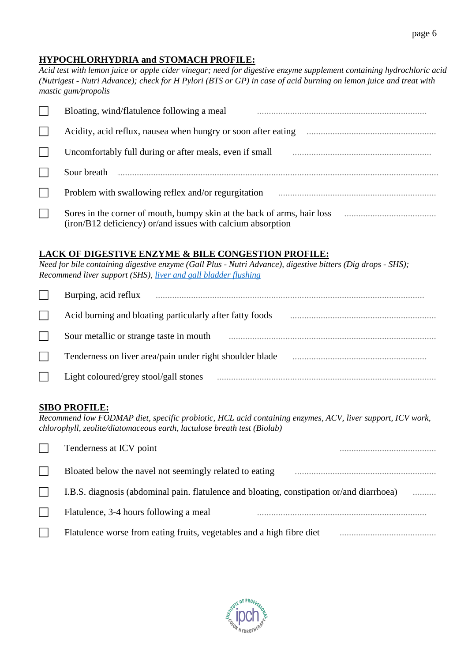#### **HYPOCHLORHYDRIA and STOMACH PROFILE:**

*Acid test with lemon juice or apple cider vinegar; need for digestive enzyme supplement containing hydrochloric acid (Nutrigest - Nutri Advance); check for H Pylori (BTS or GP) in case of acid burning on lemon juice and treat with mastic gum/propolis*

|        | Bloating, wind/flatulence following a meal                                                                                             |
|--------|----------------------------------------------------------------------------------------------------------------------------------------|
|        | Acidity, acid reflux, nausea when hungry or soon after eating                                                                          |
|        | Uncomfortably full during or after meals, even if small                                                                                |
|        | Sour breath                                                                                                                            |
|        | Problem with swallowing reflex and/or regurgitation                                                                                    |
| $\Box$ | Sores in the corner of mouth, bumpy skin at the back of arms, hair loss<br>(iron/B12 deficiency) or/and issues with calcium absorption |

#### **LACK OF DIGESTIVE ENZYME & BILE CONGESTION PROFILE:**

*Need for bile containing digestive enzyme (Gall Plus - Nutri Advance), digestive bitters (Dig drops - SHS); Recommend liver support (SHS), liver and gall [bladder flushing](https://www.annelisemiller.com/images/PDF-files/CLEANSES/GALL-BLADDER-CLEANSE.pdf)*

| Burping, acid reflux                                     |
|----------------------------------------------------------|
| Acid burning and bloating particularly after fatty foods |
| Sour metallic or strange taste in mouth                  |
| Tenderness on liver area/pain under right shoulder blade |
| Light coloured/grey stool/gall stones                    |

#### **SIBO PROFILE:**

*Recommend low FODMAP diet, specific probiotic, HCL acid containing enzymes, ACV, liver support, ICV work, chlorophyll, zeolite/diatomaceous earth, lactulose breath test (Biolab)*

| Tenderness at ICV point                                                                   |   |
|-------------------------------------------------------------------------------------------|---|
| Bloated below the navel not seemingly related to eating                                   |   |
| I.B.S. diagnosis (abdominal pain. flatulence and bloating, constipation or/and diarrhoea) | . |
| Flatulence, 3-4 hours following a meal                                                    |   |
| Flatulence worse from eating fruits, vegetables and a high fibre diet                     |   |

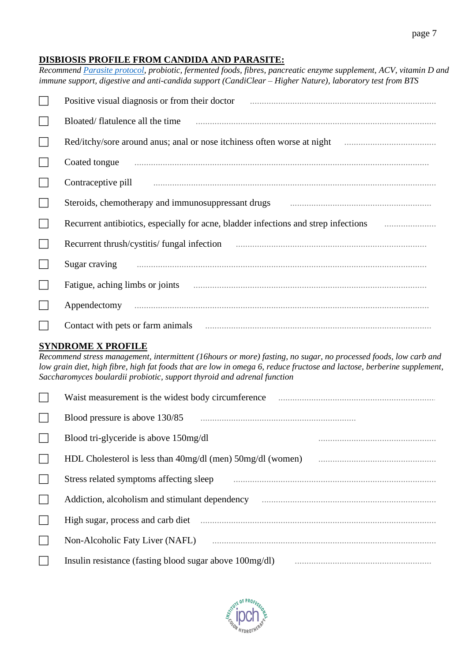#### **DISBIOSIS PROFILE FROM CANDIDA AND PARASITE:**

*Recommend Parasite [protocol,](https://www.annelisemiller.com/images/PDF-files/CLEANSES/PARASITE-CLEANSE.pdf) probiotic, fermented foods, fibres, pancreatic enzyme supplement, ACV, vitamin D and immune support, digestive and anti-candida support (CandiClear – Higher Nature), laboratory test from BTS*

|        | Positive visual diagnosis or from their doctor                                      |
|--------|-------------------------------------------------------------------------------------|
|        | Bloated/flatulence all the time                                                     |
|        | Red/itchy/sore around anus; anal or nose itchiness often worse at night             |
|        | Coated tongue                                                                       |
|        | Contraceptive pill                                                                  |
|        | Steroids, chemotherapy and immunosuppressant drugs                                  |
| $\Box$ | Recurrent antibiotics, especially for acne, bladder infections and strep infections |
| $\Box$ | Recurrent thrush/cystitis/fungal infection                                          |
|        | Sugar craving                                                                       |
|        | Fatigue, aching limbs or joints                                                     |
|        | Appendectomy                                                                        |
|        |                                                                                     |

#### **SYNDROME X PROFILE**

*Recommend stress management, intermittent (16hours or more) fasting, no sugar, no processed foods, low carb and low grain diet, high fibre, high fat foods that are low in omega 6, reduce fructose and lactose, berberine supplement, Saccharomyces boulardii probiotic, support thyroid and adrenal function*

| Waist measurement is the widest body circumference             |
|----------------------------------------------------------------|
| Blood pressure is above 130/85                                 |
| Blood tri-glyceride is above 150mg/dl                          |
| HDL Cholesterol is less than $40mg/dl$ (men) $50mg/dl$ (women) |
| Stress related symptoms affecting sleep                        |
| Addiction, alcoholism and stimulant dependency                 |
| High sugar, process and carb diet                              |
| Non-Alcoholic Faty Liver (NAFL)                                |
| Insulin resistance (fasting blood sugar above 100mg/dl)        |

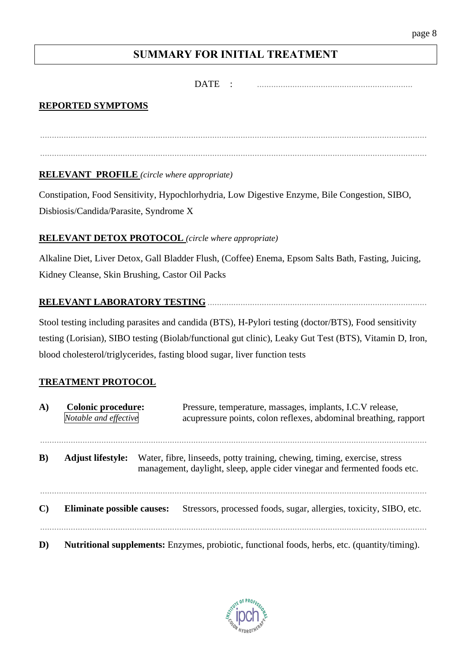# **SUMMARY FOR INITIAL TREATMENT**

....................................................................................................................................................................

....................................................................................................................................................................

### DATE : ..................................................................

# **REPORTED SYMPTOMS**

**RELEVANT PROFILE** *(circle where appropriate)*

Constipation, Food Sensitivity, Hypochlorhydria, Low Digestive Enzyme, Bile Congestion, SIBO, Disbiosis/Candida/Parasite, Syndrome X

## **RELEVANT DETOX PROTOCOL** *(circle where appropriate)*

Alkaline Diet, Liver Detox, Gall Bladder Flush, (Coffee) Enema, Epsom Salts Bath, Fasting, Juicing, Kidney Cleanse, Skin Brushing, Castor Oil Packs

## **RELEVANT LABORATORY TESTING** .............................................................................................

Stool testing including parasites and candida (BTS), H-Pylori testing (doctor/BTS), Food sensitivity testing (Lorisian), SIBO testing (Biolab/functional gut clinic), Leaky Gut Test (BTS), Vitamin D, Iron, blood cholesterol/triglycerides, fasting blood sugar, liver function tests

## **TREATMENT PROTOCOL**

| A)           | <b>Colonic procedure:</b><br>Notable and effective                                                   | Pressure, temperature, massages, implants, I.C.V release,<br>acupressure points, colon reflexes, abdominal breathing, rapport                          |
|--------------|------------------------------------------------------------------------------------------------------|--------------------------------------------------------------------------------------------------------------------------------------------------------|
| $\bf{B}$     | <b>Adjust lifestyle:</b>                                                                             | Water, fibre, linseeds, potty training, chewing, timing, exercise, stress<br>management, daylight, sleep, apple cider vinegar and fermented foods etc. |
| $\mathbf{C}$ | <b>Eliminate possible causes:</b>                                                                    | Stressors, processed foods, sugar, allergies, toxicity, SIBO, etc.                                                                                     |
| D)           | <b>Nutritional supplements:</b> Enzymes, probiotic, functional foods, herbs, etc. (quantity/timing). |                                                                                                                                                        |

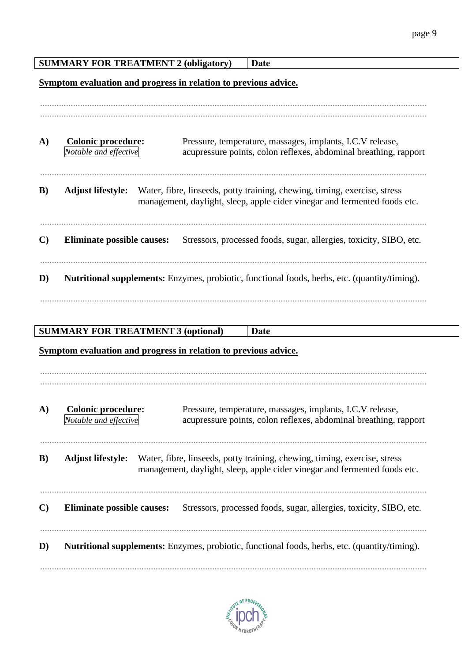|                                                                 | <b>SUMMARY FOR TREATMENT 2 (obligatory)</b><br>Date                                                                                                                                 |  |  |  |  |  |  |  |  |  |
|-----------------------------------------------------------------|-------------------------------------------------------------------------------------------------------------------------------------------------------------------------------------|--|--|--|--|--|--|--|--|--|
| Symptom evaluation and progress in relation to previous advice. |                                                                                                                                                                                     |  |  |  |  |  |  |  |  |  |
|                                                                 |                                                                                                                                                                                     |  |  |  |  |  |  |  |  |  |
|                                                                 |                                                                                                                                                                                     |  |  |  |  |  |  |  |  |  |
| A)                                                              | <b>Colonic procedure:</b><br>Pressure, temperature, massages, implants, I.C.V release,<br>Notable and effective<br>acupressure points, colon reflexes, abdominal breathing, rapport |  |  |  |  |  |  |  |  |  |
| $\bf{B})$                                                       | <b>Adjust lifestyle:</b><br>Water, fibre, linseeds, potty training, chewing, timing, exercise, stress<br>management, daylight, sleep, apple cider vinegar and fermented foods etc.  |  |  |  |  |  |  |  |  |  |
| $\mathbf{C}$                                                    | <b>Eliminate possible causes:</b><br>Stressors, processed foods, sugar, allergies, toxicity, SIBO, etc.                                                                             |  |  |  |  |  |  |  |  |  |
| D)                                                              | <b>Nutritional supplements:</b> Enzymes, probiotic, functional foods, herbs, etc. (quantity/timing).                                                                                |  |  |  |  |  |  |  |  |  |
|                                                                 |                                                                                                                                                                                     |  |  |  |  |  |  |  |  |  |
|                                                                 |                                                                                                                                                                                     |  |  |  |  |  |  |  |  |  |
| <b>SUMMARY FOR TREATMENT 3 (optional)</b><br>Date               |                                                                                                                                                                                     |  |  |  |  |  |  |  |  |  |
|                                                                 | Symptom evaluation and progress in relation to previous advice.                                                                                                                     |  |  |  |  |  |  |  |  |  |
|                                                                 |                                                                                                                                                                                     |  |  |  |  |  |  |  |  |  |
|                                                                 |                                                                                                                                                                                     |  |  |  |  |  |  |  |  |  |
|                                                                 |                                                                                                                                                                                     |  |  |  |  |  |  |  |  |  |
| A)                                                              | <b>Colonic procedure:</b><br>Pressure, temperature, massages, implants, I.C.V release,<br>Notable and effective<br>acupressure points, colon reflexes, abdominal breathing, rapport |  |  |  |  |  |  |  |  |  |
|                                                                 | <b>Adjust lifestyle:</b><br>Water, fibre, linseeds, potty training, chewing, timing, exercise, stress<br>management, daylight, sleep, apple cider vinegar and fermented foods etc.  |  |  |  |  |  |  |  |  |  |
| B)<br>$\mathbf{C}$                                              | Stressors, processed foods, sugar, allergies, toxicity, SIBO, etc.<br><b>Eliminate possible causes:</b>                                                                             |  |  |  |  |  |  |  |  |  |
| D)                                                              | <b>Nutritional supplements:</b> Enzymes, probiotic, functional foods, herbs, etc. (quantity/timing).                                                                                |  |  |  |  |  |  |  |  |  |